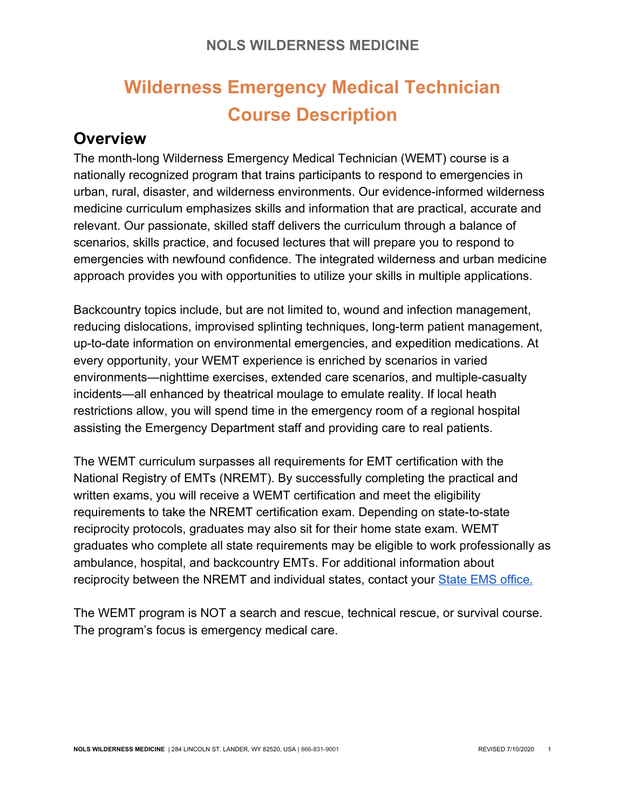# **Wilderness Emergency Medical Technician Course Description**

## **Overview**

The month-long Wilderness Emergency Medical Technician (WEMT) course is a nationally recognized program that trains participants to respond to emergencies in urban, rural, disaster, and wilderness environments. Our evidence-informed wilderness medicine curriculum emphasizes skills and information that are practical, accurate and relevant. Our passionate, skilled staff delivers the curriculum through a balance of scenarios, skills practice, and focused lectures that will prepare you to respond to emergencies with newfound confidence. The integrated wilderness and urban medicine approach provides you with opportunities to utilize your skills in multiple applications.

Backcountry topics include, but are not limited to, wound and infection management, reducing dislocations, improvised splinting techniques, long-term patient management, up-to-date information on environmental emergencies, and expedition medications. At every opportunity, your WEMT experience is enriched by scenarios in varied environments—nighttime exercises, extended care scenarios, and multiple-casualty incidents—all enhanced by theatrical moulage to emulate reality. If local heath restrictions allow, you will spend time in the emergency room of a regional hospital assisting the Emergency Department staff and providing care to real patients.

The WEMT curriculum surpasses all requirements for EMT certification with the National Registry of EMTs (NREMT). By successfully completing the practical and written exams, you will receive a WEMT certification and meet the eligibility requirements to take the NREMT certification exam. Depending on state-to-state reciprocity protocols, graduates may also sit for their home state exam. WEMT graduates who complete all state requirements may be eligible to work professionally as ambulance, hospital, and backcountry EMTs. For additional information about reciprocity between the NREMT and individual states, contact you[r](https://www.nremt.org/rwd/public/states/state-ems-agencies) [State EMS office](https://www.nremt.org/rwd/public/states/state-ems-agencies).

The WEMT program is NOT a search and rescue, technical rescue, or survival course. The program's focus is emergency medical care.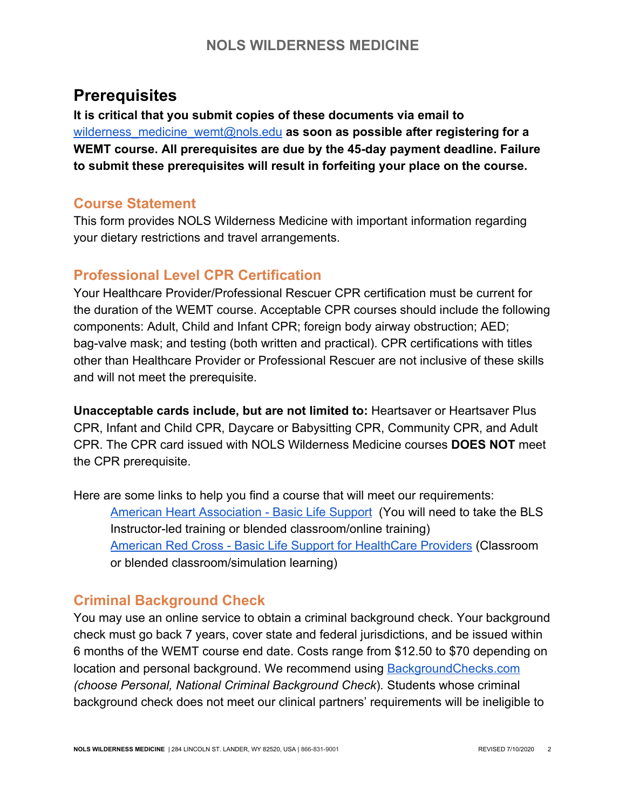## **Prerequisites**

**It is critical that you submit copies of these documents via email to** wilderness\_medicine\_wemt@nols.edu as soon as possible after registering for a **WEMT course. All prerequisites are due by the 45-day payment deadline. Failure to submit these prerequisites will result in forfeiting your place on the course.**

## **Course Statement**

This form provides NOLS Wilderness Medicine with important information regarding your dietary restrictions and travel arrangements.

## **Professional Level CPR Certification**

Your Healthcare Provider/Professional Rescuer CPR certification must be current for the duration of the WEMT course. Acceptable CPR courses should include the following components: Adult, Child and Infant CPR; foreign body airway obstruction; AED; bag-valve mask; and testing (both written and practical). CPR certifications with titles other than Healthcare Provider or Professional Rescuer are not inclusive of these skills and will not meet the prerequisite.

**Unacceptable cards include, but are not limited to:** Heartsaver or Heartsaver Plus CPR, Infant and Child CPR, Daycare or Babysitting CPR, Community CPR, and Adult CPR. The CPR card issued with NOLS Wilderness Medicine courses **DOES NOT** meet the CPR prerequisite.

Here are some links to help you find a course that will meet our requirements: [American Heart Association - Basic Life Support](http://www.heart.org/HEARTORG/CPRAndECC/HealthcareProviders/BasicLifeSupportBLS/Basic-Life-Support-BLS_UCM_001281_SubHomePage.jsp) (You will need to take the BLS Instructor-led training or blended classroom/online training) [American Red Cross - Basic Life Support for HealthCare Providers](http://www.redcross.org/take-a-class/program-highlights/cpr-first-aid/professional-rescuers#cpr-aed) (Classroom or blended classroom/simulation learning)

## **Criminal Background Check**

You may use an online service to obtain a criminal background check. Your background check must go back 7 years, cover state and federal jurisdictions, and be issued within 6 months of the WEMT course end date. Costs range from \$12.50 to \$70 depending on location and personal background. We recommend using [BackgroundChecks.com](https://www.backgroundchecks.com/Personal/CriminalBackgroundCheck) *(choose Personal, National Criminal Background Check*)*.* Students whose criminal background check does not meet our clinical partners' requirements will be ineligible to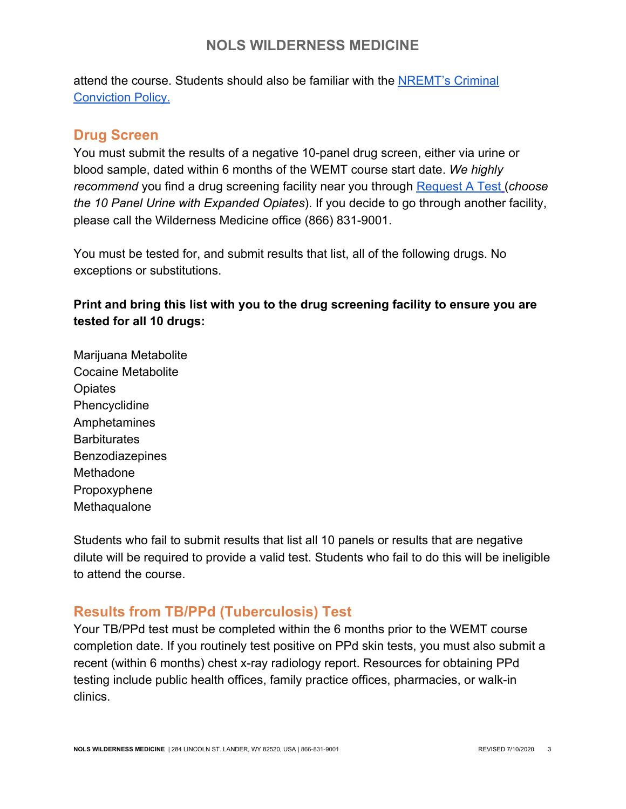attend the course. Students should also be familiar with th[e](https://www.nremt.org/rwd/public/document/policy-criminal) [NREMT's Criminal](https://www.nremt.org/rwd/public/document/policy-criminal) [Conviction Policy.](https://www.nremt.org/rwd/public/document/policy-criminal)

### **Drug Screen**

You must submit the results of a negative 10-panel drug screen, either via urine or blood sample, dated within 6 months of the WEMT course start date. *We highly recommend* you find a drug screening facility near you throug[h](http://requestatest.com/drug-test-10-panel-urine-with-expanded-opiates-testing) [Request A Test](http://requestatest.com/drug-test-10-panel-urine-with-expanded-opiates-testing) (*choose the 10 Panel Urine with Expanded Opiates*). If you decide to go through another facility, please call the Wilderness Medicine office (866) 831-9001.

You must be tested for, and submit results that list, all of the following drugs. No exceptions or substitutions.

**Print and bring this list with you to the drug screening facility to ensure you are tested for all 10 drugs:**

Marijuana Metabolite Cocaine Metabolite **Opiates** Phencyclidine Amphetamines **Barbiturates Benzodiazepines** Methadone Propoxyphene Methaqualone

Students who fail to submit results that list all 10 panels or results that are negative dilute will be required to provide a valid test. Students who fail to do this will be ineligible to attend the course.

## **Results from TB/PPd (Tuberculosis) Test**

Your TB/PPd test must be completed within the 6 months prior to the WEMT course completion date. If you routinely test positive on PPd skin tests, you must also submit a recent (within 6 months) chest x-ray radiology report. Resources for obtaining PPd testing include public health offices, family practice offices, pharmacies, or walk-in clinics.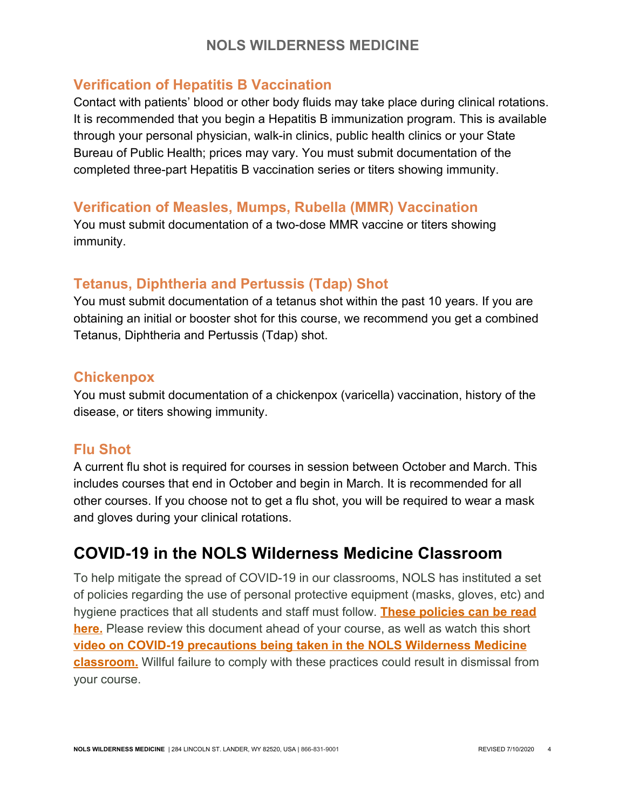### **Verification of Hepatitis B Vaccination**

Contact with patients' blood or other body fluids may take place during clinical rotations. It is recommended that you begin a Hepatitis B immunization program. This is available through your personal physician, walk-in clinics, public health clinics or your State Bureau of Public Health; prices may vary. You must submit documentation of the completed three-part Hepatitis B vaccination series or titers showing immunity.

## **Verification of Measles, Mumps, Rubella (MMR) Vaccination**

You must submit documentation of a two-dose MMR vaccine or titers showing immunity.

## **Tetanus, Diphtheria and Pertussis (Tdap) Shot**

You must submit documentation of a tetanus shot within the past 10 years. If you are obtaining an initial or booster shot for this course, we recommend you get a combined Tetanus, Diphtheria and Pertussis (Tdap) shot.

### **Chickenpox**

You must submit documentation of a chickenpox (varicella) vaccination, history of the disease, or titers showing immunity.

## **Flu Shot**

A current flu shot is required for courses in session between October and March. This includes courses that end in October and begin in March. It is recommended for all other courses. If you choose not to get a flu shot, you will be required to wear a mask and gloves during your clinical rotations.

## **COVID-19 in the NOLS Wilderness Medicine Classroom**

To help mitigate the spread of COVID-19 in our classrooms, NOLS has instituted a set of policies regarding the use of personal protective equipment (masks, gloves, etc) and hygiene practices that all students and staff must follow. **[These policies can be read](https://docs.google.com/document/d/1jCIoXEoWBarFbF76pwdynAgtGvPd4aI9uBEys8m0cvg/edit?usp=sharing) [here.](https://docs.google.com/document/d/1jCIoXEoWBarFbF76pwdynAgtGvPd4aI9uBEys8m0cvg/edit?usp=sharing)** Please review this document ahead of your course, as well as watch this short **[video on COVID-19 precautions being taken in the NOLS Wilderness Medicine](https://www.youtube.com/watch?v=LRuRwaAeOsE&feature=emb_logo) [classroom.](https://www.youtube.com/watch?v=LRuRwaAeOsE&feature=emb_logo)** Willful failure to comply with these practices could result in dismissal from your course.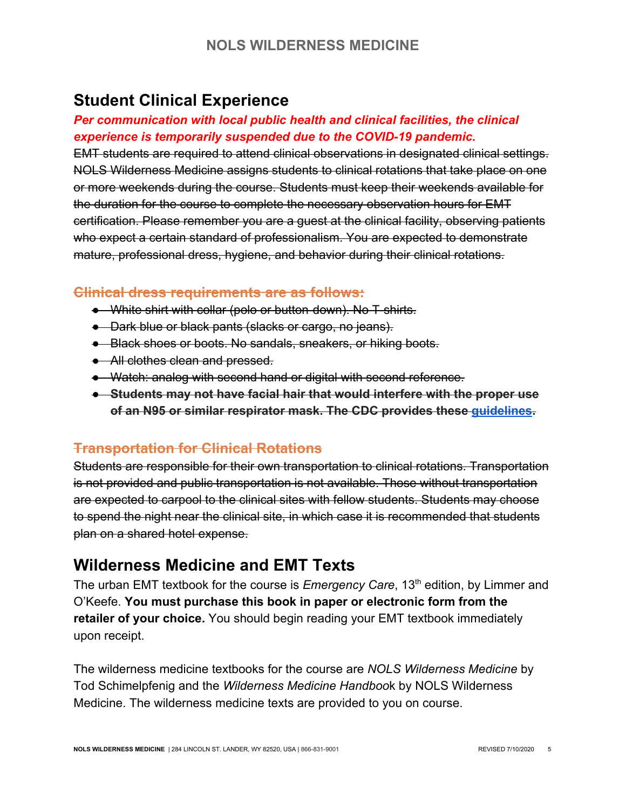## **Student Clinical Experience**

### *Per communication with local public health and clinical facilities, the clinical experience is temporarily suspended due to the COVID-19 pandemic.*

EMT students are required to attend clinical observations in designated clinical settings. NOLS Wilderness Medicine assigns students to clinical rotations that take place on one or more weekends during the course. Students must keep their weekends available for the duration for the course to complete the necessary observation hours for EMT certification. Please remember you are a guest at the clinical facility, observing patients who expect a certain standard of professionalism. You are expected to demonstrate mature, professional dress, hygiene, and behavior during their clinical rotations.

### **Clinical dress requirements are as follows:**

- White shirt with collar (polo or button-down). No T-shirts.
- Dark blue or black pants (slacks or cargo, no jeans).
- Black shoes or boots. No sandals, sneakers, or hiking boots.
- All clothes clean and pressed.
- Watch: analog with second hand or digital with second reference.
- **Students may not have facial hair that would interfere with the proper use of an N95 or similar respirator mask. The CDC provides these [guidelines](https://www.cdc.gov/niosh/npptl/pdfs/FacialHairWmask11282017-508.pdf?source=techstories.org).**

### **Transportation for Clinical Rotations**

Students are responsible for their own transportation to clinical rotations. Transportation is not provided and public transportation is not available. Those without transportation are expected to carpool to the clinical sites with fellow students. Students may choose to spend the night near the clinical site, in which case it is recommended that students plan on a shared hotel expense.

## **Wilderness Medicine and EMT Texts**

The urban EMT textbook for the course is *Emergency Care*, 13<sup>th</sup> edition, by Limmer and O'Keefe. **You must purchase this book in paper or electronic form from the retailer of your choice.** You should begin reading your EMT textbook immediately upon receipt.

The wilderness medicine textbooks for the course are *NOLS Wilderness Medicine* by Tod Schimelpfenig and the *Wilderness Medicine Handboo*k by NOLS Wilderness Medicine. The wilderness medicine texts are provided to you on course.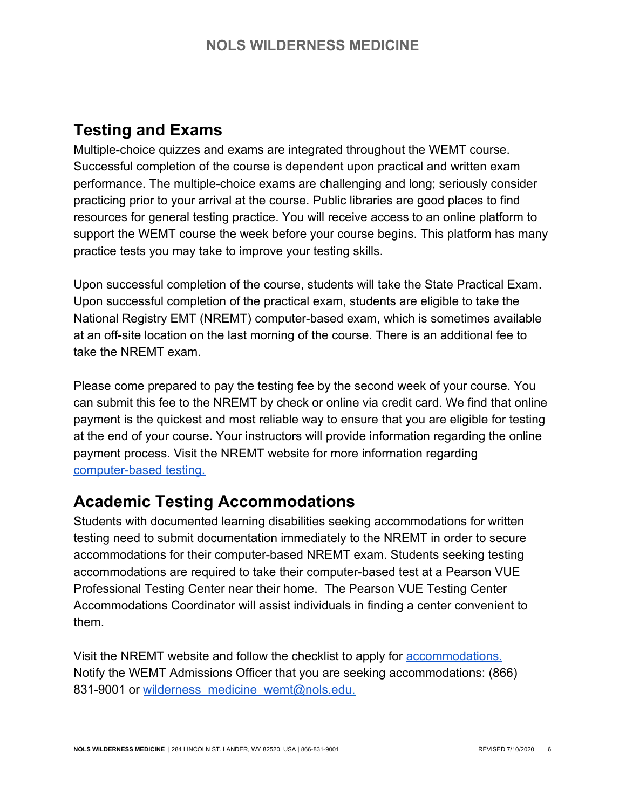## **Testing and Exams**

Multiple-choice quizzes and exams are integrated throughout the WEMT course. Successful completion of the course is dependent upon practical and written exam performance. The multiple-choice exams are challenging and long; seriously consider practicing prior to your arrival at the course. Public libraries are good places to find resources for general testing practice. You will receive access to an online platform to support the WEMT course the week before your course begins. This platform has many practice tests you may take to improve your testing skills.

Upon successful completion of the course, students will take the State Practical Exam. Upon successful completion of the practical exam, students are eligible to take the National Registry EMT (NREMT) computer-based exam, which is sometimes available at an off-site location on the last morning of the course. There is an additional fee to take the NREMT exam.

Please come prepared to pay the testing fee by the second week of your course. You can submit this fee to the NREMT by check or online via credit card. We find that online payment is the quickest and most reliable way to ensure that you are eligible for testing at the end of your course. Your instructors will provide information regarding the online payment process. Visit the NREMT website for more information regardin[g](https://www.nremt.org/rwd/public/document/cognitive-exam) [computer-based testing](https://www.nremt.org/rwd/public/document/cognitive-exam).

## **Academic Testing Accommodations**

Students with documented learning disabilities seeking accommodations for written testing need to submit documentation immediately to the NREMT in order to secure accommodations for their computer-based NREMT exam. Students seeking testing accommodations are required to take their computer-based test at a Pearson VUE Professional Testing Center near their home. The Pearson VUE Testing Center Accommodations Coordinator will assist individuals in finding a center convenient to them.

Visit the NREMT website and follow the checklist to apply for [accommodations](https://www.nremt.org/rwd/public/document/policy-accommodations). Notify the WEMT Admissions Officer that you are seeking accommodations: (866) 831-9001 or [wilderness\\_medicine\\_wemt@nols.edu](mailto:wilderness_medicine_wemt@nols.edu).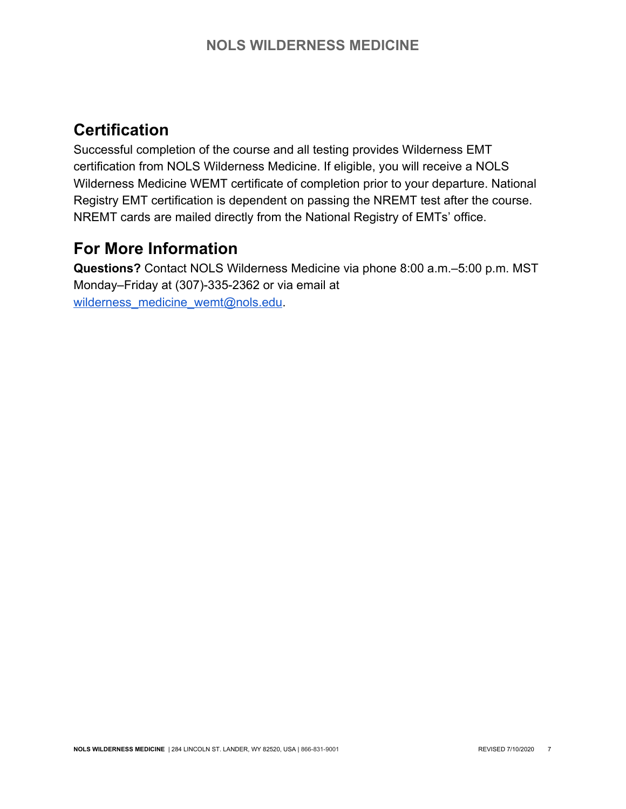## **Certification**

Successful completion of the course and all testing provides Wilderness EMT certification from NOLS Wilderness Medicine. If eligible, you will receive a NOLS Wilderness Medicine WEMT certificate of completion prior to your departure. National Registry EMT certification is dependent on passing the NREMT test after the course. NREMT cards are mailed directly from the National Registry of EMTs' office.

## **For More Information**

**Questions?** Contact NOLS Wilderness Medicine via phone 8:00 a.m.–5:00 p.m. MST Monday–Friday at (307)-335-2362 or via email at [wilderness\\_medicine\\_wemt@nols.edu](mailto:wilderness_medicine_wemt@nols.edu).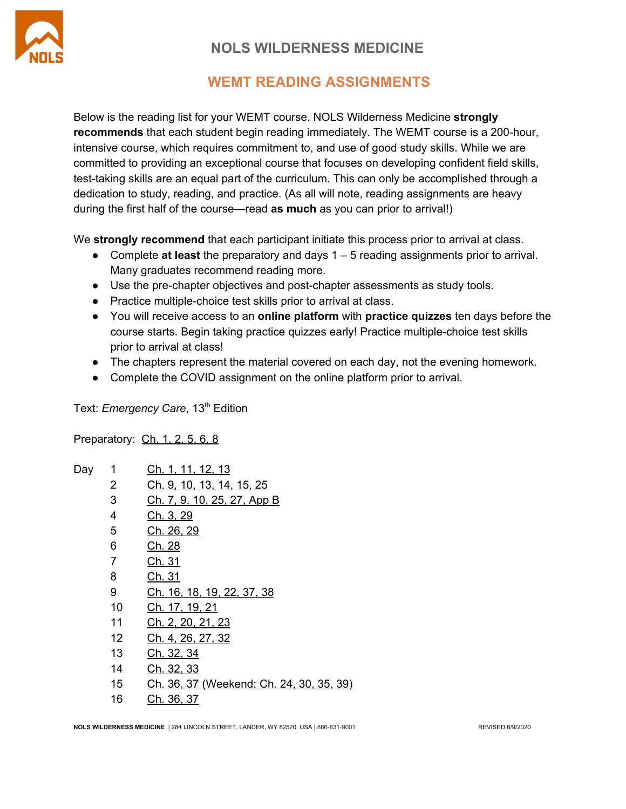

## **WEMT READING ASSIGNMENTS**

Below is the reading list for your WEMT course. NOLS Wilderness Medicine **strongly recommends** that each student begin reading immediately. The WEMT course is a 200-hour, intensive course, which requires commitment to, and use of good study skills. While we are committed to providing an exceptional course that focuses on developing confident field skills, test-taking skills are an equal part of the curriculum. This can only be accomplished through a dedication to study, reading, and practice. (As all will note, reading assignments are heavy during the first half of the course—read **as much** as you can prior to arrival!)

We **strongly recommend** that each participant initiate this process prior to arrival at class.

- Complete **at least** the preparatory and days 1 5 reading assignments prior to arrival. Many graduates recommend reading more.
- Use the pre-chapter objectives and post-chapter assessments as study tools.
- Practice multiple-choice test skills prior to arrival at class.
- You will receive access to an **online platform** with **practice quizzes** ten days before the course starts. Begin taking practice quizzes early! Practice multiple-choice test skills prior to arrival at class!
- The chapters represent the material covered on each day, not the evening homework.
- Complete the COVID assignment on the online platform prior to arrival.

Text: *Emergency Care*, 13<sup>th</sup> Edition

Preparatory: Ch. 1, 2, 5, 6, 8

| Day | 1  | <u>Ch. 1, 11, 12, 13</u>                 |
|-----|----|------------------------------------------|
|     | 2  | Ch. 9, 10, 13, 14, 15, 25                |
|     | 3  | Ch. 7, 9, 10, 25, 27, App B              |
|     | 4  | Ch. 3, 29                                |
|     | 5  | Ch. 26, 29                               |
|     | 6  | Ch. 28                                   |
|     | 7  | Ch. 31                                   |
|     | 8  | Ch. 31                                   |
|     | 9  | Ch. 16, 18, 19, 22, 37, 38               |
|     | 10 | Ch. 17, 19, 21                           |
|     | 11 | Ch. 2, 20, 21, 23                        |
|     | 12 | Ch. 4, 26, 27, 32                        |
|     | 13 | Ch. 32, 34                               |
|     | 14 | Ch. 32, 33                               |
|     | 15 | Ch. 36, 37 (Weekend: Ch. 24, 30, 35, 39) |
|     | 16 | Ch. 36, 37                               |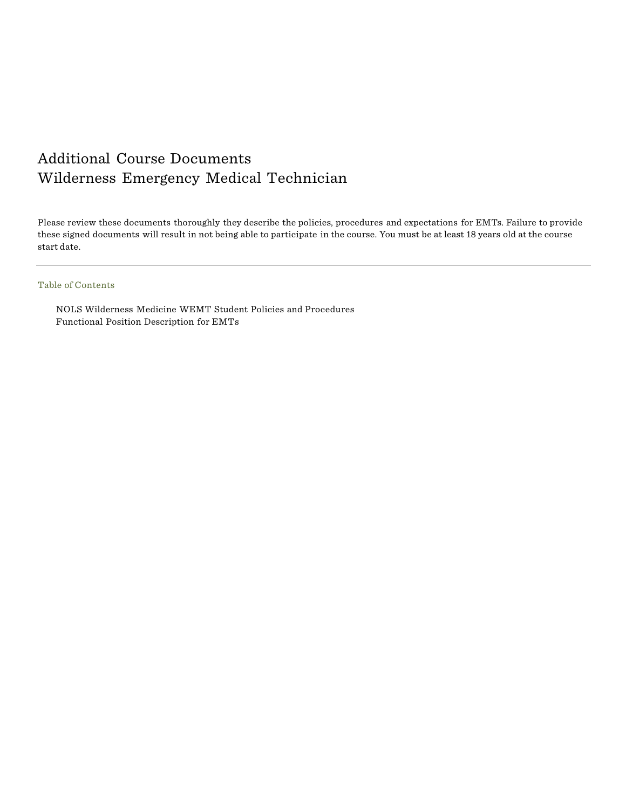## Additional Course Documents Wilderness Emergency Medical Technician

Please review these documents thoroughly they describe the policies, procedures and expectations for EMTs. Failure to provide these signed documents will result in not being able to participate in the course. You must be at least 18 years old at the course start date.

### Table of Contents

NOLS Wilderness Medicine WEMT Student Policies and Procedures Functional Position Description for EMTs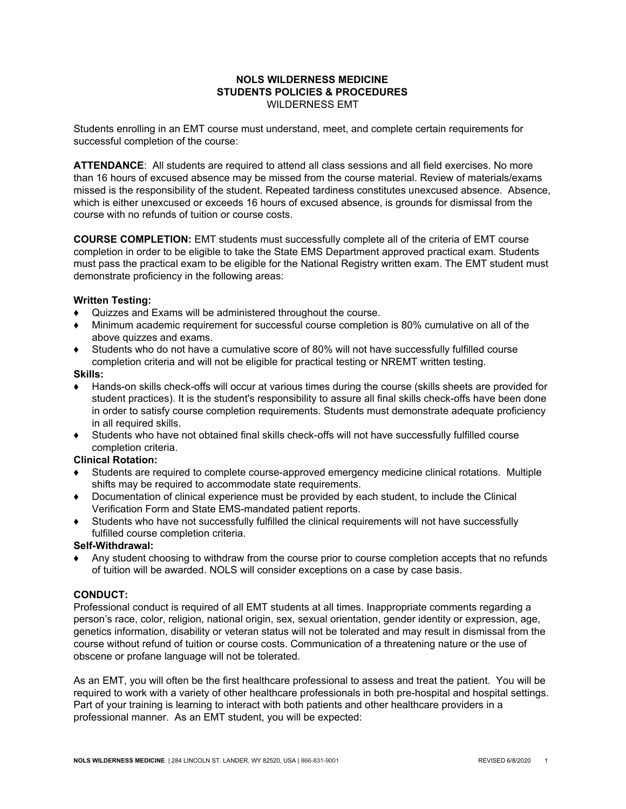#### **NOLS WILDERNESS MEDICINE STUDENTS POLICIES & PROCEDURES** WILDERNESS EMT

Students enrolling in an EMT course must understand, meet, and complete certain requirements for successful completion of the course:

**ATTENDANCE**: All students are required to attend all class sessions and all field exercises. No more than 16 hours of excused absence may be missed from the course material. Review of materials/exams missed is the responsibility of the student. Repeated tardiness constitutes unexcused absence. Absence, which is either unexcused or exceeds 16 hours of excused absence, is grounds for dismissal from the course with no refunds of tuition or course costs.

**COURSE COMPLETION:** EMT students must successfully complete all of the criteria of EMT course completion in order to be eligible to take the State EMS Department approved practical exam. Students must pass the practical exam to be eligible for the National Registry written exam. The EMT student must demonstrate proficiency in the following areas:

#### **Written Testing:**

- ♦ Quizzes and Exams will be administered throughout the course.
- ♦ Minimum academic requirement for successful course completion is 80% cumulative on all of the above quizzes and exams.
- ♦ Students who do not have a cumulative score of 80% will not have successfully fulfilled course completion criteria and will not be eligible for practical testing or NREMT written testing.

#### **Skills:**

- Hands-on skills check-offs will occur at various times during the course (skills sheets are provided for student practices). It is the student's responsibility to assure all final skills check-offs have been done in order to satisfy course completion requirements. Students must demonstrate adequate proficiency in all required skills.
- ♦ Students who have not obtained final skills check-offs will not have successfully fulfilled course completion criteria.

### **Clinical Rotation:**

- **♦** Students are required to complete course-approved emergency medicine clinical rotations. Multiple shifts may be required to accommodate state requirements.
- ♦ Documentation of clinical experience must be provided by each student, to include the Clinical Verification Form and State EMS-mandated patient reports.
- ♦ Students who have not successfully fulfilled the clinical requirements will not have successfully fulfilled course completion criteria.

#### **Self-Withdrawal:**

Any student choosing to withdraw from the course prior to course completion accepts that no refunds of tuition will be awarded. NOLS will consider exceptions on a case by case basis.

#### **CONDUCT:**

Professional conduct is required of all EMT students at all times. Inappropriate comments regarding a person's race, color, religion, national origin, sex, sexual orientation, gender identity or expression, age, genetics information, disability or veteran status will not be tolerated and may result in dismissal from the course without refund of tuition or course costs. Communication of a threatening nature or the use of obscene or profane language will not be tolerated.

As an EMT, you will often be the first healthcare professional to assess and treat the patient. You will be required to work with a variety of other healthcare professionals in both pre-hospital and hospital settings. Part of your training is learning to interact with both patients and other healthcare providers in a professional manner. As an EMT student, you will be expected: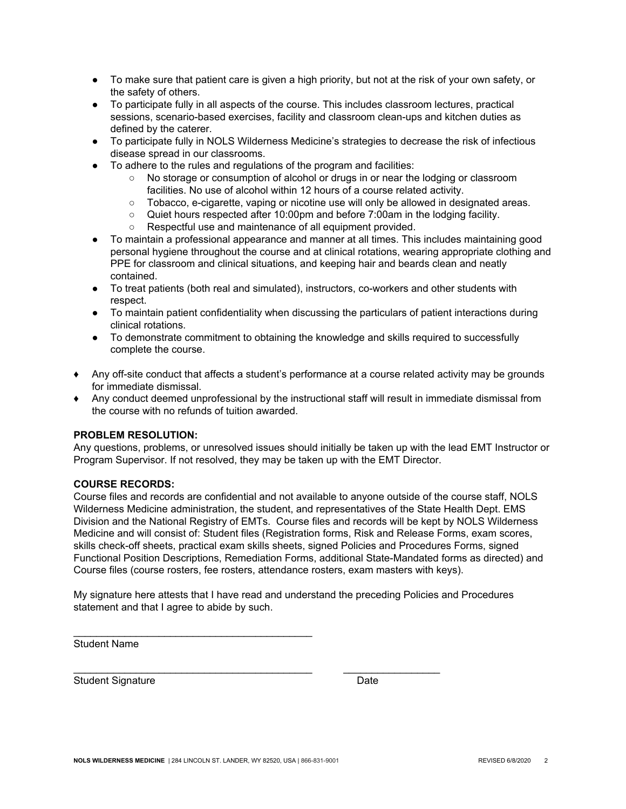- To make sure that patient care is given a high priority, but not at the risk of your own safety, or the safety of others.
- To participate fully in all aspects of the course. This includes classroom lectures, practical sessions, scenario-based exercises, facility and classroom clean-ups and kitchen duties as defined by the caterer.
- To participate fully in NOLS Wilderness Medicine's strategies to decrease the risk of infectious disease spread in our classrooms.
- To adhere to the rules and regulations of the program and facilities:
	- No storage or consumption of alcohol or drugs in or near the lodging or classroom facilities. No use of alcohol within 12 hours of a course related activity.
	- Tobacco, e-cigarette, vaping or nicotine use will only be allowed in designated areas.
	- Quiet hours respected after 10:00pm and before 7:00am in the lodging facility.
	- Respectful use and maintenance of all equipment provided.
- To maintain a professional appearance and manner at all times. This includes maintaining good personal hygiene throughout the course and at clinical rotations, wearing appropriate clothing and PPE for classroom and clinical situations, and keeping hair and beards clean and neatly contained.
- To treat patients (both real and simulated), instructors, co-workers and other students with respect.
- To maintain patient confidentiality when discussing the particulars of patient interactions during clinical rotations.
- To demonstrate commitment to obtaining the knowledge and skills required to successfully complete the course.
- ♦ Any off-site conduct that affects a student's performance at a course related activity may be grounds for immediate dismissal.
- ♦ Any conduct deemed unprofessional by the instructional staff will result in immediate dismissal from the course with no refunds of tuition awarded.

#### **PROBLEM RESOLUTION:**

Any questions, problems, or unresolved issues should initially be taken up with the lead EMT Instructor or Program Supervisor. If not resolved, they may be taken up with the EMT Director.

#### **COURSE RECORDS:**

Course files and records are confidential and not available to anyone outside of the course staff, NOLS Wilderness Medicine administration, the student, and representatives of the State Health Dept. EMS Division and the National Registry of EMTs. Course files and records will be kept by NOLS Wilderness Medicine and will consist of: Student files (Registration forms, Risk and Release Forms, exam scores, skills check-off sheets, practical exam skills sheets, signed Policies and Procedures Forms, signed Functional Position Descriptions, Remediation Forms, additional State-Mandated forms as directed) and Course files (course rosters, fee rosters, attendance rosters, exam masters with keys).

My signature here attests that I have read and understand the preceding Policies and Procedures statement and that I agree to abide by such.

\_\_\_\_\_\_\_\_\_\_\_\_\_\_\_\_\_\_\_\_\_\_\_\_\_\_\_\_\_\_\_\_\_\_\_\_\_\_\_\_\_\_ \_\_\_\_\_\_\_\_\_\_\_\_\_\_\_\_\_

Student Name

Student Signature Date

 $\_$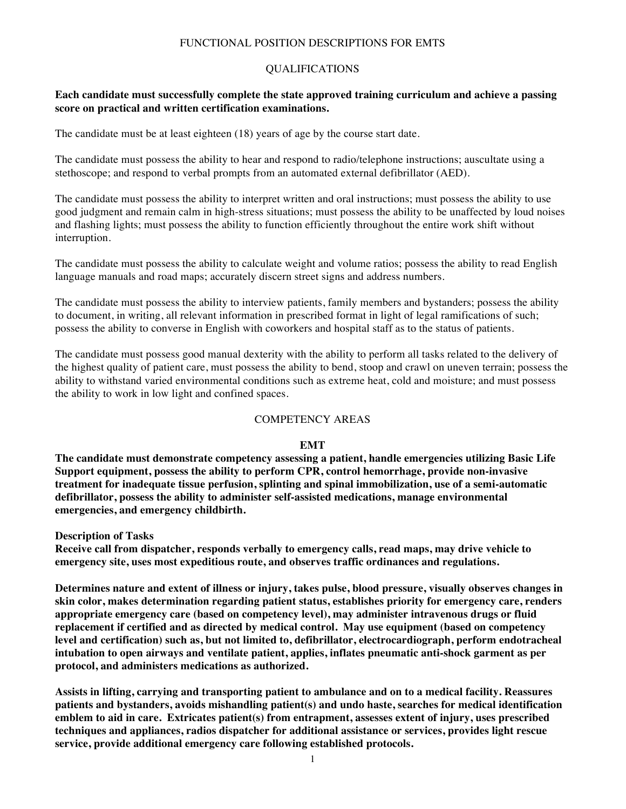### FUNCTIONAL POSITION DESCRIPTIONS FOR EMTS

### QUALIFICATIONS

### **Each candidate must successfully complete the state approved training curriculum and achieve a passing score on practical and written certification examinations.**

The candidate must be at least eighteen (18) years of age by the course start date.

The candidate must possess the ability to hear and respond to radio/telephone instructions; auscultate using a stethoscope; and respond to verbal prompts from an automated external defibrillator (AED).

The candidate must possess the ability to interpret written and oral instructions; must possess the ability to use good judgment and remain calm in high-stress situations; must possess the ability to be unaffected by loud noises and flashing lights; must possess the ability to function efficiently throughout the entire work shift without interruption.

The candidate must possess the ability to calculate weight and volume ratios; possess the ability to read English language manuals and road maps; accurately discern street signs and address numbers.

The candidate must possess the ability to interview patients, family members and bystanders; possess the ability to document, in writing, all relevant information in prescribed format in light of legal ramifications of such; possess the ability to converse in English with coworkers and hospital staff as to the status of patients.

The candidate must possess good manual dexterity with the ability to perform all tasks related to the delivery of the highest quality of patient care, must possess the ability to bend, stoop and crawl on uneven terrain; possess the ability to withstand varied environmental conditions such as extreme heat, cold and moisture; and must possess the ability to work in low light and confined spaces.

### COMPETENCY AREAS

#### **EMT**

**The candidate must demonstrate competency assessing a patient, handle emergencies utilizing Basic Life Support equipment, possess the ability to perform CPR, control hemorrhage, provide non-invasive treatment for inadequate tissue perfusion, splinting and spinal immobilization, use of a semi-automatic defibrillator, possess the ability to administer self-assisted medications, manage environmental emergencies, and emergency childbirth.**

**Description of Tasks**

**Receive call from dispatcher, responds verbally to emergency calls, read maps, may drive vehicle to emergency site, uses most expeditious route, and observes traffic ordinances and regulations.**

**Determines nature and extent of illness or injury, takes pulse, blood pressure, visually observes changes in skin color, makes determination regarding patient status, establishes priority for emergency care, renders appropriate emergency care (based on competency level), may administer intravenous drugs or fluid replacement if certified and as directed by medical control. May use equipment (based on competency level and certification) such as, but not limited to, defibrillator, electrocardiograph, perform endotracheal intubation to open airways and ventilate patient, applies, inflates pneumatic anti-shock garment as per protocol, and administers medications as authorized.**

**Assists in lifting, carrying and transporting patient to ambulance and on to a medical facility. Reassures patients and bystanders, avoids mishandling patient(s) and undo haste, searches for medical identification emblem to aid in care. Extricates patient(s) from entrapment, assesses extent of injury, uses prescribed techniques and appliances, radios dispatcher for additional assistance or services, provides light rescue service, provide additional emergency care following established protocols.**